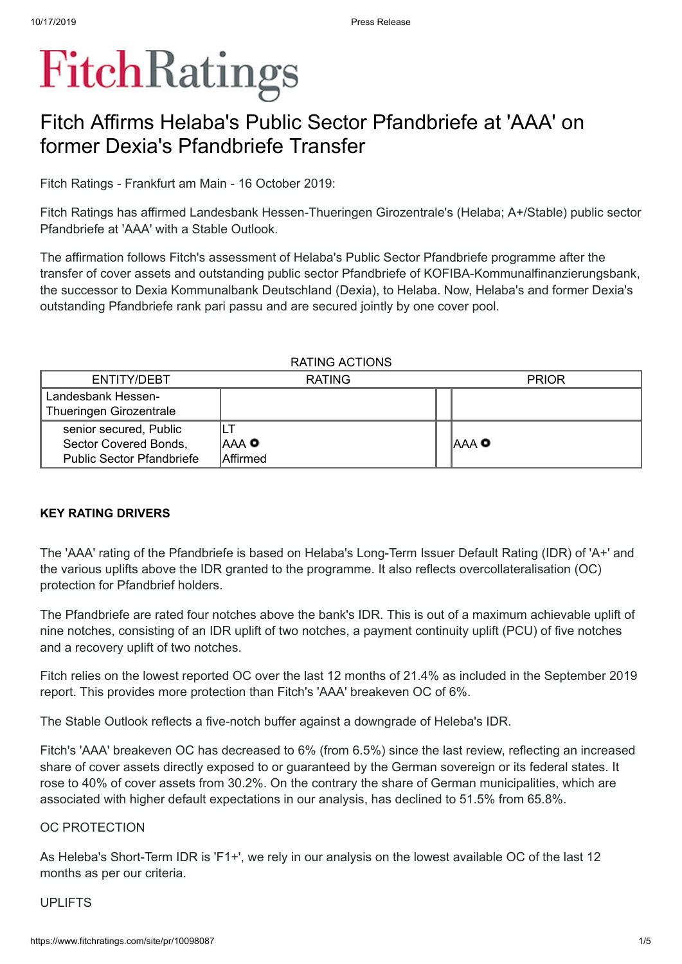# **FitchRatings**

## Fitch Affirms Helaba's Public Sector Pfandbriefe at 'AAA' on former Dexia's Pfandbriefe Transfer

Fitch Ratings - Frankfurt am Main - 16 October 2019:

Fitch Ratings has affirmed Landesbank Hessen-Thueringen Girozentrale's (Helaba; A+/Stable) public sector Pfandbriefe at 'AAA' with a Stable Outlook.

The affirmation follows Fitch's assessment of Helaba's Public Sector Pfandbriefe programme after the transfer of cover assets and outstanding public sector Pfandbriefe of KOFIBA-Kommunalfinanzierungsbank, the successor to Dexia Kommunalbank Deutschland (Dexia), to Helaba. Now, Helaba's and former Dexia's outstanding Pfandbriefe rank pari passu and are secured jointly by one cover pool.

#### RATING ACTIONS

| ENTITY/DEBT                      | <b>RATING</b>    | <b>PRIOR</b> |
|----------------------------------|------------------|--------------|
| Landesbank Hessen-               |                  |              |
| Thueringen Girozentrale          |                  |              |
| senior secured, Public           |                  |              |
| Sector Covered Bonds,            | IAAA O           | IAAA O       |
| <b>Public Sector Pfandbriefe</b> | <b>A</b> ffirmed |              |

#### **KEY RATING DRIVERS**

The 'AAA' rating of the Pfandbriefe is based on Helaba's Long-Term Issuer Default Rating (IDR) of 'A+' and the various uplifts above the IDR granted to the programme. It also reflects overcollateralisation (OC) protection for Pfandbrief holders.

The Pfandbriefe are rated four notches above the bank's IDR. This is out of a maximum achievable uplift of nine notches, consisting of an IDR uplift of two notches, a payment continuity uplift (PCU) of five notches and a recovery uplift of two notches.

Fitch relies on the lowest reported OC over the last 12 months of 21.4% as included in the September 2019 report. This provides more protection than Fitch's 'AAA' breakeven OC of 6%.

The Stable Outlook reflects a five-notch buffer against a downgrade of Heleba's IDR.

Fitch's 'AAA' breakeven OC has decreased to 6% (from 6.5%) since the last review, reflecting an increased share of cover assets directly exposed to or guaranteed by the German sovereign or its federal states. It rose to 40% of cover assets from 30.2%. On the contrary the share of German municipalities, which are associated with higher default expectations in our analysis, has declined to 51.5% from 65.8%.

#### OC PROTECTION

As Heleba's Short-Term IDR is 'F1+', we rely in our analysis on the lowest available OC of the last 12 months as per our criteria.

#### UPLIFTS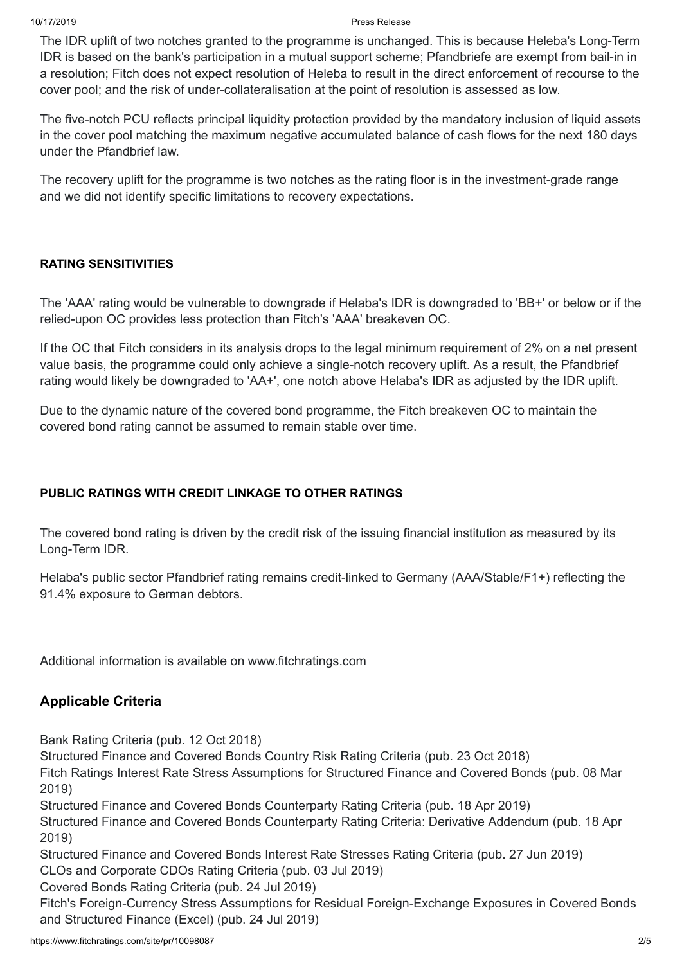#### 10/17/2019 Press Release

The IDR uplift of two notches granted to the programme is unchanged. This is because Heleba's Long-Term IDR is based on the bank's participation in a mutual support scheme; Pfandbriefe are exempt from bail-in in a resolution; Fitch does not expect resolution of Heleba to result in the direct enforcement of recourse to the cover pool; and the risk of under-collateralisation at the point of resolution is assessed as low.

The five-notch PCU reflects principal liquidity protection provided by the mandatory inclusion of liquid assets in the cover pool matching the maximum negative accumulated balance of cash flows for the next 180 days under the Pfandbrief law.

The recovery uplift for the programme is two notches as the rating floor is in the investment-grade range and we did not identify specific limitations to recovery expectations.

#### **RATING SENSITIVITIES**

The 'AAA' rating would be vulnerable to downgrade if Helaba's IDR is downgraded to 'BB+' or below or if the relied-upon OC provides less protection than Fitch's 'AAA' breakeven OC.

If the OC that Fitch considers in its analysis drops to the legal minimum requirement of 2% on a net present value basis, the programme could only achieve a single-notch recovery uplift. As a result, the Pfandbrief rating would likely be downgraded to 'AA+', one notch above Helaba's IDR as adjusted by the IDR uplift.

Due to the dynamic nature of the covered bond programme, the Fitch breakeven OC to maintain the covered bond rating cannot be assumed to remain stable over time.

#### **PUBLIC RATINGS WITH CREDIT LINKAGE TO OTHER RATINGS**

The covered bond rating is driven by the credit risk of the issuing financial institution as measured by its Long-Term IDR.

Helaba's public sector Pfandbrief rating remains credit-linked to Germany (AAA/Stable/F1+) reflecting the 91.4% exposure to German debtors.

Additional information is available on www.fitchratings.com

#### **Applicable Criteria**

Bank Rating [Criteria](https://www.fitchratings.com/site/re/10044408) (pub. 12 Oct 2018)

[Structured](https://www.fitchratings.com/site/re/10047041) Finance and Covered Bonds Country Risk Rating Criteria (pub. 23 Oct 2018)

Fitch Ratings Interest Rate Stress [Assumptions](https://www.fitchratings.com/site/re/10065249) for Structured Finance and Covered Bonds (pub. 08 Mar 2019)

Structured Finance and Covered Bonds [Counterparty](https://www.fitchratings.com/site/re/10068780) Rating Criteria (pub. 18 Apr 2019)

Structured Finance and Covered Bonds [Counterparty](https://www.fitchratings.com/site/re/10069072) Rating Criteria: Derivative Addendum (pub. 18 Apr 2019)

[Structured](https://www.fitchratings.com/site/re/10080349) Finance and Covered Bonds Interest Rate Stresses Rating Criteria (pub. 27 Jun 2019)

CLOs and [Corporate](https://www.fitchratings.com/site/re/10081107) CDOs Rating Criteria (pub. 03 Jul 2019) [Covered](https://www.fitchratings.com/site/re/10081331) Bonds Rating Criteria (pub. 24 Jul 2019)

Fitch's Foreign-Currency Stress Assumptions for Residual [Foreign-Exchange](https://www.fitchratings.com/site/re/10081774) Exposures in Covered Bonds and Structured Finance (Excel) (pub. 24 Jul 2019)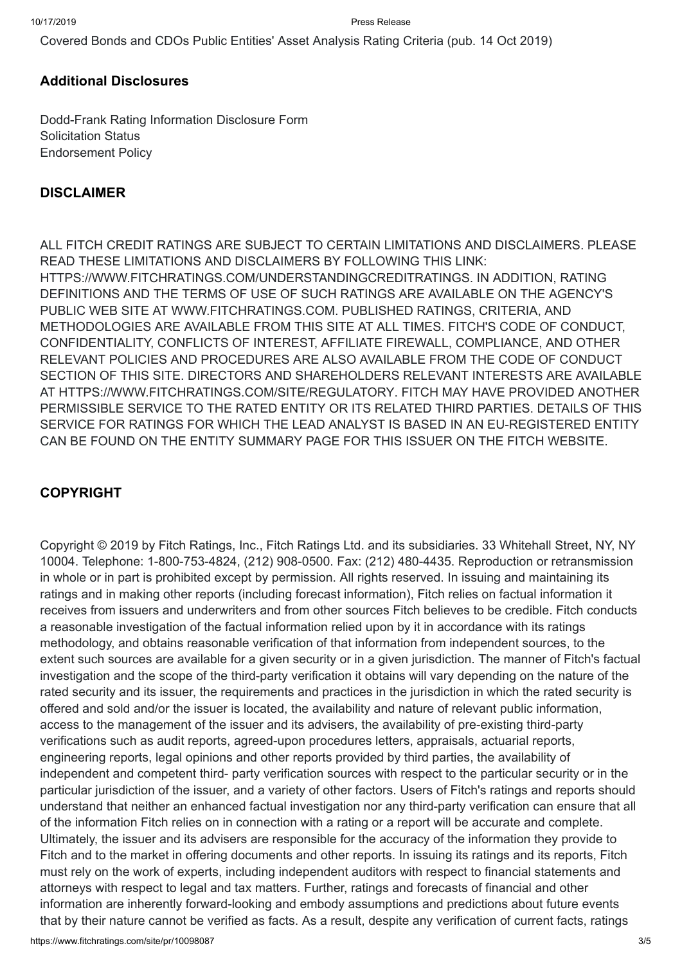[Covered](https://www.fitchratings.com/site/re/10092030) Bonds and CDOs Public Entities' Asset Analysis Rating Criteria (pub. 14 Oct 2019)

#### **Additional Disclosures**

[Dodd-Frank](https://www.fitchratings.com/site/dodd-frank-disclosure/10098087) Rating Information Disclosure Form Solicitation Status [Endorsement](https://www.fitchratings.com/site/regulatory) Policy

#### **DISCLAIMER**

ALL FITCH CREDIT RATINGS ARE SUBJECT TO CERTAIN LIMITATIONS AND DISCLAIMERS. PLEASE READ THESE LIMITATIONS AND DISCLAIMERS BY FOLLOWING THIS LINK: [HTTPS://WWW.FITCHRATINGS.COM/UNDERSTANDINGCREDITRATINGS](https://www.fitchratings.com/UNDERSTANDINGCREDITRATINGS). IN ADDITION, RATING DEFINITIONS AND THE TERMS OF USE OF SUCH RATINGS ARE AVAILABLE ON THE AGENCY'S PUBLIC WEB SITE AT [WWW.FITCHRATINGS.COM](https://www.fitchratings.com/site/home). PUBLISHED RATINGS, CRITERIA, AND METHODOLOGIES ARE AVAILABLE FROM THIS SITE AT ALL TIMES. FITCH'S CODE OF CONDUCT, CONFIDENTIALITY, CONFLICTS OF INTEREST, AFFILIATE FIREWALL, COMPLIANCE, AND OTHER RELEVANT POLICIES AND PROCEDURES ARE ALSO AVAILABLE FROM THE CODE OF CONDUCT SECTION OF THIS SITE. DIRECTORS AND SHAREHOLDERS RELEVANT INTERESTS ARE AVAILABLE AT [HTTPS://WWW.FITCHRATINGS.COM/SITE/REGULATORY](https://www.fitchratings.com/site/regulatory). FITCH MAY HAVE PROVIDED ANOTHER PERMISSIBLE SERVICE TO THE RATED ENTITY OR ITS RELATED THIRD PARTIES. DETAILS OF THIS SERVICE FOR RATINGS FOR WHICH THE LEAD ANALYST IS BASED IN AN EU-REGISTERED ENTITY CAN BE FOUND ON THE ENTITY SUMMARY PAGE FOR THIS ISSUER ON THE FITCH WEBSITE.

#### **COPYRIGHT**

Copyright © 2019 by Fitch Ratings, Inc., Fitch Ratings Ltd. and its subsidiaries. 33 Whitehall Street, NY, NY 10004. Telephone: 1-800-753-4824, (212) 908-0500. Fax: (212) 480-4435. Reproduction or retransmission in whole or in part is prohibited except by permission. All rights reserved. In issuing and maintaining its ratings and in making other reports (including forecast information), Fitch relies on factual information it receives from issuers and underwriters and from other sources Fitch believes to be credible. Fitch conducts a reasonable investigation of the factual information relied upon by it in accordance with its ratings methodology, and obtains reasonable verification of that information from independent sources, to the extent such sources are available for a given security or in a given jurisdiction. The manner of Fitch's factual investigation and the scope of the third-party verification it obtains will vary depending on the nature of the rated security and its issuer, the requirements and practices in the jurisdiction in which the rated security is offered and sold and/or the issuer is located, the availability and nature of relevant public information, access to the management of the issuer and its advisers, the availability of pre-existing third-party verifications such as audit reports, agreed-upon procedures letters, appraisals, actuarial reports, engineering reports, legal opinions and other reports provided by third parties, the availability of independent and competent third- party verification sources with respect to the particular security or in the particular jurisdiction of the issuer, and a variety of other factors. Users of Fitch's ratings and reports should understand that neither an enhanced factual investigation nor any third-party verification can ensure that all of the information Fitch relies on in connection with a rating or a report will be accurate and complete. Ultimately, the issuer and its advisers are responsible for the accuracy of the information they provide to Fitch and to the market in offering documents and other reports. In issuing its ratings and its reports, Fitch must rely on the work of experts, including independent auditors with respect to financial statements and attorneys with respect to legal and tax matters. Further, ratings and forecasts of financial and other information are inherently forward-looking and embody assumptions and predictions about future events that by their nature cannot be verified as facts. As a result, despite any verification of current facts, ratings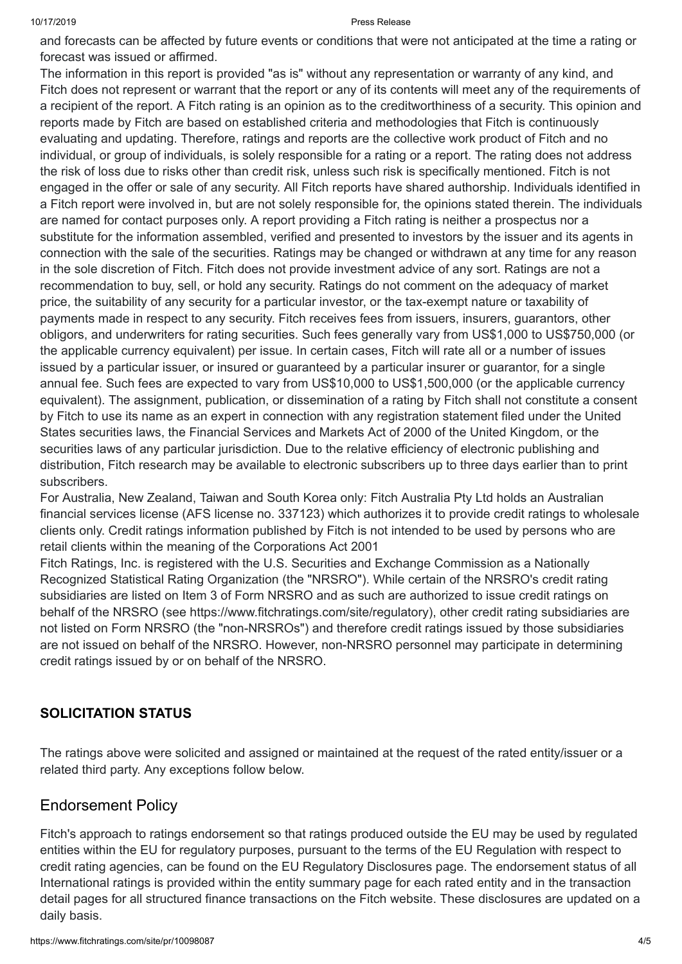#### 10/17/2019 Press Release

and forecasts can be affected by future events or conditions that were not anticipated at the time a rating or forecast was issued or affirmed.

The information in this report is provided "as is" without any representation or warranty of any kind, and Fitch does not represent or warrant that the report or any of its contents will meet any of the requirements of a recipient of the report. A Fitch rating is an opinion as to the creditworthiness of a security. This opinion and reports made by Fitch are based on established criteria and methodologies that Fitch is continuously evaluating and updating. Therefore, ratings and reports are the collective work product of Fitch and no individual, or group of individuals, is solely responsible for a rating or a report. The rating does not address the risk of loss due to risks other than credit risk, unless such risk is specifically mentioned. Fitch is not engaged in the offer or sale of any security. All Fitch reports have shared authorship. Individuals identified in a Fitch report were involved in, but are not solely responsible for, the opinions stated therein. The individuals are named for contact purposes only. A report providing a Fitch rating is neither a prospectus nor a substitute for the information assembled, verified and presented to investors by the issuer and its agents in connection with the sale of the securities. Ratings may be changed or withdrawn at any time for any reason in the sole discretion of Fitch. Fitch does not provide investment advice of any sort. Ratings are not a recommendation to buy, sell, or hold any security. Ratings do not comment on the adequacy of market price, the suitability of any security for a particular investor, or the tax-exempt nature or taxability of payments made in respect to any security. Fitch receives fees from issuers, insurers, guarantors, other obligors, and underwriters for rating securities. Such fees generally vary from US\$1,000 to US\$750,000 (or the applicable currency equivalent) per issue. In certain cases, Fitch will rate all or a number of issues issued by a particular issuer, or insured or guaranteed by a particular insurer or guarantor, for a single annual fee. Such fees are expected to vary from US\$10,000 to US\$1,500,000 (or the applicable currency equivalent). The assignment, publication, or dissemination of a rating by Fitch shall not constitute a consent by Fitch to use its name as an expert in connection with any registration statement filed under the United States securities laws, the Financial Services and Markets Act of 2000 of the United Kingdom, or the securities laws of any particular jurisdiction. Due to the relative efficiency of electronic publishing and distribution, Fitch research may be available to electronic subscribers up to three days earlier than to print subscribers.

For Australia, New Zealand, Taiwan and South Korea only: Fitch Australia Pty Ltd holds an Australian financial services license (AFS license no. 337123) which authorizes it to provide credit ratings to wholesale clients only. Credit ratings information published by Fitch is not intended to be used by persons who are retail clients within the meaning of the Corporations Act 2001

Fitch Ratings, Inc. is registered with the U.S. Securities and Exchange Commission as a Nationally Recognized Statistical Rating Organization (the "NRSRO"). While certain of the NRSRO's credit rating subsidiaries are listed on Item 3 of Form NRSRO and as such are authorized to issue credit ratings on behalf of the NRSRO (see <https://www.fitchratings.com/site/regulatory>), other credit rating subsidiaries are not listed on Form NRSRO (the "non-NRSROs") and therefore credit ratings issued by those subsidiaries are not issued on behalf of the NRSRO. However, non-NRSRO personnel may participate in determining credit ratings issued by or on behalf of the NRSRO.

#### **SOLICITATION STATUS**

The ratings above were solicited and assigned or maintained at the request of the rated entity/issuer or a related third party. Any exceptions follow below.

#### Endorsement Policy

Fitch's approach to ratings endorsement so that ratings produced outside the EU may be used by regulated entities within the EU for regulatory purposes, pursuant to the terms of the EU Regulation with respect to credit rating agencies, can be found on the EU Regulatory [Disclosures](https://www.fitchratings.com/regulatory) page. The endorsement status of all International ratings is provided within the entity summary page for each rated entity and in the transaction detail pages for all structured finance transactions on the Fitch website. These disclosures are updated on a daily basis.